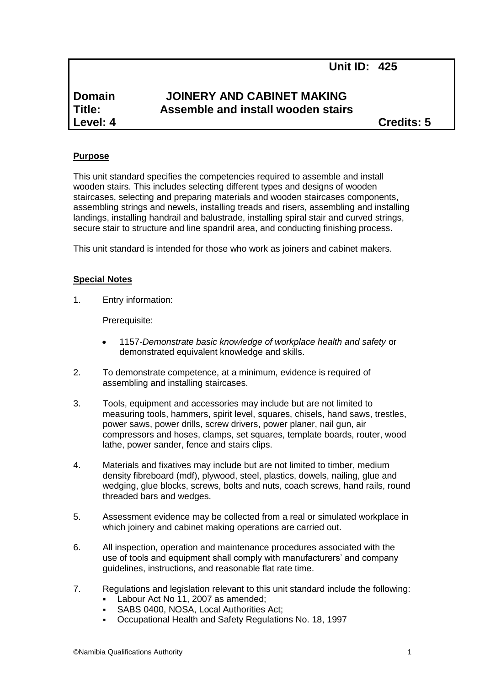**Unit ID: 425**

# **Domain JOINERY AND CABINET MAKING Title: Assemble and install wooden stairs Level: 4 Credits: 5**

# **Purpose**

This unit standard specifies the competencies required to assemble and install wooden stairs. This includes selecting different types and designs of wooden staircases, selecting and preparing materials and wooden staircases components, assembling strings and newels, installing treads and risers, assembling and installing landings, installing handrail and balustrade, installing spiral stair and curved strings, secure stair to structure and line spandril area, and conducting finishing process.

This unit standard is intended for those who work as joiners and cabinet makers.

## **Special Notes**

1. Entry information:

Prerequisite:

- 1157*-Demonstrate basic knowledge of workplace health and safety* or demonstrated equivalent knowledge and skills.
- 2. To demonstrate competence, at a minimum, evidence is required of assembling and installing staircases.
- 3. Tools, equipment and accessories may include but are not limited to measuring tools, hammers, spirit level, squares, chisels, hand saws, trestles, power saws, power drills, screw drivers, power planer, nail gun, air compressors and hoses, clamps, set squares, template boards, router, wood lathe, power sander, fence and stairs clips.
- 4. Materials and fixatives may include but are not limited to timber, medium density fibreboard (mdf), plywood, steel, plastics, dowels, nailing, glue and wedging, glue blocks, screws, bolts and nuts, coach screws, hand rails, round threaded bars and wedges.
- 5. Assessment evidence may be collected from a real or simulated workplace in which joinery and cabinet making operations are carried out.
- 6. All inspection, operation and maintenance procedures associated with the use of tools and equipment shall comply with manufacturers' and company guidelines, instructions, and reasonable flat rate time.
- 7. Regulations and legislation relevant to this unit standard include the following:
	- Labour Act No 11, 2007 as amended;
	- SABS 0400, NOSA, Local Authorities Act;
	- Occupational Health and Safety Regulations No. 18, 1997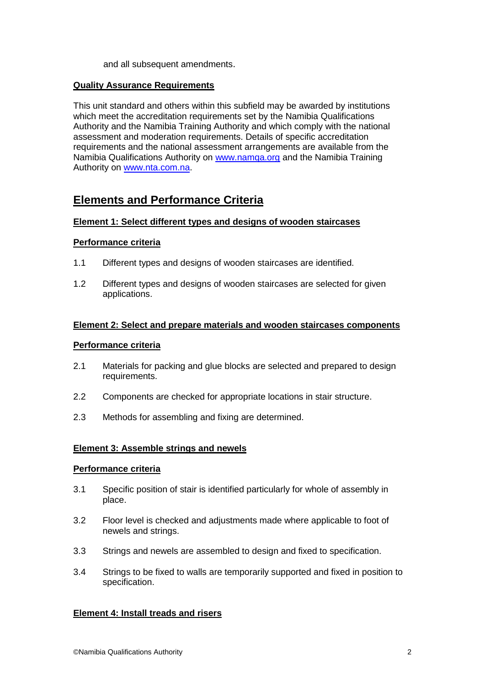and all subsequent amendments.

## **Quality Assurance Requirements**

This unit standard and others within this subfield may be awarded by institutions which meet the accreditation requirements set by the Namibia Qualifications Authority and the Namibia Training Authority and which comply with the national assessment and moderation requirements. Details of specific accreditation requirements and the national assessment arrangements are available from the Namibia Qualifications Authority on [www.namqa.org](http://www.namqa.org/) and the Namibia Training Authority on [www.nta.com.na.](http://www.nta.com.na/)

# **Elements and Performance Criteria**

## **Element 1: Select different types and designs of wooden staircases**

## **Performance criteria**

- 1.1 Different types and designs of wooden staircases are identified.
- 1.2 Different types and designs of wooden staircases are selected for given applications.

## **Element 2: Select and prepare materials and wooden staircases components**

#### **Performance criteria**

- 2.1 Materials for packing and glue blocks are selected and prepared to design requirements.
- 2.2 Components are checked for appropriate locations in stair structure.
- 2.3 Methods for assembling and fixing are determined.

# **Element 3: Assemble strings and newels**

#### **Performance criteria**

- 3.1 Specific position of stair is identified particularly for whole of assembly in place.
- 3.2 Floor level is checked and adjustments made where applicable to foot of newels and strings.
- 3.3 Strings and newels are assembled to design and fixed to specification.
- 3.4 Strings to be fixed to walls are temporarily supported and fixed in position to specification.

# **Element 4: Install treads and risers**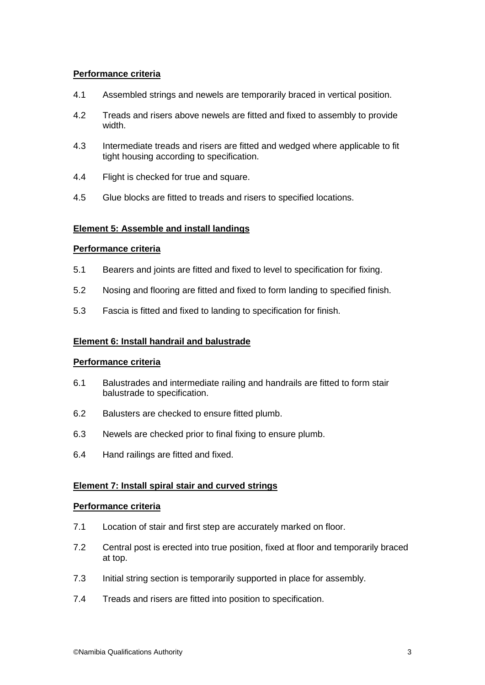# **Performance criteria**

- 4.1 Assembled strings and newels are temporarily braced in vertical position.
- 4.2 Treads and risers above newels are fitted and fixed to assembly to provide width.
- 4.3 Intermediate treads and risers are fitted and wedged where applicable to fit tight housing according to specification.
- 4.4 Flight is checked for true and square.
- 4.5 Glue blocks are fitted to treads and risers to specified locations.

# **Element 5: Assemble and install landings**

#### **Performance criteria**

- 5.1 Bearers and joints are fitted and fixed to level to specification for fixing.
- 5.2 Nosing and flooring are fitted and fixed to form landing to specified finish.
- 5.3 Fascia is fitted and fixed to landing to specification for finish.

#### **Element 6: Install handrail and balustrade**

#### **Performance criteria**

- 6.1 Balustrades and intermediate railing and handrails are fitted to form stair balustrade to specification.
- 6.2 Balusters are checked to ensure fitted plumb.
- 6.3 Newels are checked prior to final fixing to ensure plumb.
- 6.4 Hand railings are fitted and fixed.

#### **Element 7: Install spiral stair and curved strings**

# **Performance criteria**

- 7.1 Location of stair and first step are accurately marked on floor.
- 7.2 Central post is erected into true position, fixed at floor and temporarily braced at top.
- 7.3 Initial string section is temporarily supported in place for assembly.
- 7.4 Treads and risers are fitted into position to specification.